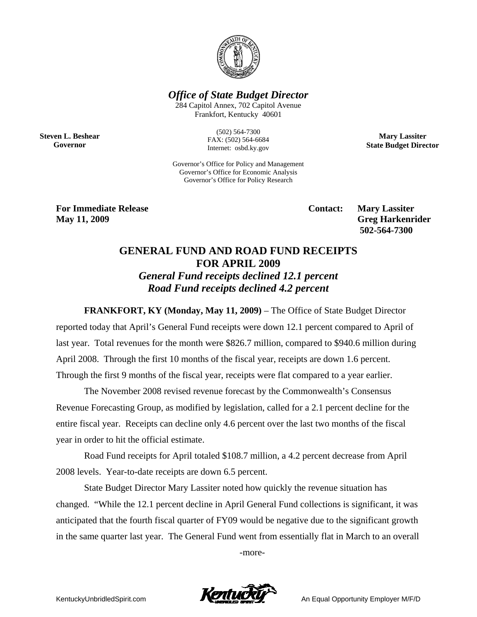

*Office of State Budget Director* 

284 Capitol Annex, 702 Capitol Avenue Frankfort, Kentucky 40601

**Steven L. Beshear Governor** 

(502) 564-7300 FAX: (502) 564-6684 Internet: osbd.ky.gov

**Mary Lassiter State Budget Director** 

Governor's Office for Policy and Management Governor's Office for Economic Analysis Governor's Office for Policy Research

**For Immediate Release Service Service Service Contact: Mary Lassiter May 11, 2009** Greg Harkenrider **Greg Harkenrider Greg Harkenrider Greg Harkenrider** 

 **502-564-7300** 

## **GENERAL FUND AND ROAD FUND RECEIPTS FOR APRIL 2009**  *General Fund receipts declined 12.1 percent Road Fund receipts declined 4.2 percent*

**FRANKFORT, KY (Monday, May 11, 2009)** – The Office of State Budget Director reported today that April's General Fund receipts were down 12.1 percent compared to April of last year. Total revenues for the month were \$826.7 million, compared to \$940.6 million during April 2008. Through the first 10 months of the fiscal year, receipts are down 1.6 percent. Through the first 9 months of the fiscal year, receipts were flat compared to a year earlier.

The November 2008 revised revenue forecast by the Commonwealth's Consensus Revenue Forecasting Group, as modified by legislation, called for a 2.1 percent decline for the entire fiscal year. Receipts can decline only 4.6 percent over the last two months of the fiscal year in order to hit the official estimate.

Road Fund receipts for April totaled \$108.7 million, a 4.2 percent decrease from April 2008 levels. Year-to-date receipts are down 6.5 percent.

State Budget Director Mary Lassiter noted how quickly the revenue situation has changed. "While the 12.1 percent decline in April General Fund collections is significant, it was anticipated that the fourth fiscal quarter of FY09 would be negative due to the significant growth in the same quarter last year. The General Fund went from essentially flat in March to an overall

-more-

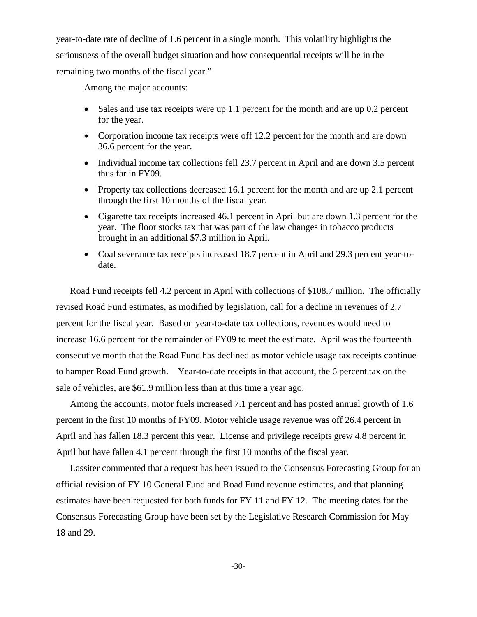year-to-date rate of decline of 1.6 percent in a single month. This volatility highlights the seriousness of the overall budget situation and how consequential receipts will be in the remaining two months of the fiscal year."

Among the major accounts:

- Sales and use tax receipts were up 1.1 percent for the month and are up 0.2 percent for the year.
- Corporation income tax receipts were off 12.2 percent for the month and are down 36.6 percent for the year.
- Individual income tax collections fell 23.7 percent in April and are down 3.5 percent thus far in FY09.
- Property tax collections decreased 16.1 percent for the month and are up 2.1 percent through the first 10 months of the fiscal year.
- Cigarette tax receipts increased 46.1 percent in April but are down 1.3 percent for the year. The floor stocks tax that was part of the law changes in tobacco products brought in an additional \$7.3 million in April.
- Coal severance tax receipts increased 18.7 percent in April and 29.3 percent year-todate.

Road Fund receipts fell 4.2 percent in April with collections of \$108.7 million. The officially revised Road Fund estimates, as modified by legislation, call for a decline in revenues of 2.7 percent for the fiscal year. Based on year-to-date tax collections, revenues would need to increase 16.6 percent for the remainder of FY09 to meet the estimate. April was the fourteenth consecutive month that the Road Fund has declined as motor vehicle usage tax receipts continue to hamper Road Fund growth. Year-to-date receipts in that account, the 6 percent tax on the sale of vehicles, are \$61.9 million less than at this time a year ago.

Among the accounts, motor fuels increased 7.1 percent and has posted annual growth of 1.6 percent in the first 10 months of FY09. Motor vehicle usage revenue was off 26.4 percent in April and has fallen 18.3 percent this year. License and privilege receipts grew 4.8 percent in April but have fallen 4.1 percent through the first 10 months of the fiscal year.

Lassiter commented that a request has been issued to the Consensus Forecasting Group for an official revision of FY 10 General Fund and Road Fund revenue estimates, and that planning estimates have been requested for both funds for FY 11 and FY 12. The meeting dates for the Consensus Forecasting Group have been set by the Legislative Research Commission for May 18 and 29.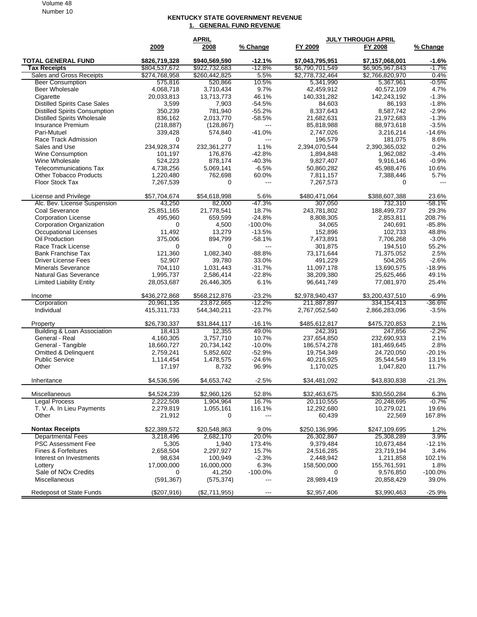Volume 48 Number 10

## **KENTUCKY STATE GOVERNMENT REVENUE 1. GENERAL FUND REVENUE**

|                                      | <b>APRIL</b>  |               |                          | <b>JULY THROUGH APRIL</b> |                 |            |  |
|--------------------------------------|---------------|---------------|--------------------------|---------------------------|-----------------|------------|--|
|                                      | 2009          | 2008          | % Change                 | FY 2009                   | FY 2008         | % Change   |  |
| <b>TOTAL GENERAL FUND</b>            | \$826,719,328 | \$940.569.590 | $-12.1%$                 | \$7,043,795,951           | \$7,157,068,001 | $-1.6%$    |  |
| <b>Tax Receipts</b>                  | \$804,537,672 | \$922,732,683 | $-12.8%$                 | \$6,790,701,549           | \$6,905,967,843 | $-1.7%$    |  |
| Sales and Gross Receipts             | \$274,768,958 | \$260,442,825 | 5.5%                     | \$2,778,732,464           | \$2,766,820,970 | 0.4%       |  |
| <b>Beer Consumption</b>              | 575,816       | 520,866       | 10.5%                    | 5,341,990                 | 5,367,961       | $-0.5%$    |  |
| <b>Beer Wholesale</b>                | 4,068,718     | 3,710,434     | 9.7%                     | 42,459,912                | 40,572,109      | 4.7%       |  |
| Cigarette                            | 20,033,813    | 13,713,773    | 46.1%                    | 140,331,282               | 142,243,192     | $-1.3%$    |  |
| <b>Distilled Spirits Case Sales</b>  | 3,599         | 7,903         | $-54.5%$                 | 84,603                    | 86,193          | $-1.8%$    |  |
| <b>Distilled Spirits Consumption</b> | 350,239       | 781,940       | $-55.2%$                 | 8,337,643                 | 8,587,742       | $-2.9%$    |  |
| <b>Distilled Spirits Wholesale</b>   | 836,162       | 2,013,770     | $-58.5%$                 | 21,682,631                | 21,972,683      | $-1.3%$    |  |
| Insurance Premium                    | (218, 887)    | (128, 867)    | $\hspace{0.05cm} \ldots$ | 85,818,988                | 88,973,618      | $-3.5%$    |  |
| Pari-Mutuel                          | 339,428       | 574,840       | $-41.0%$                 | 2,747,026                 | 3,216,214       | $-14.6%$   |  |
| Race Track Admission                 | 0             | 0             | $\overline{\phantom{a}}$ | 196,579                   | 181,075         | 8.6%       |  |
| Sales and Use                        | 234,928,374   | 232,361,277   | 1.1%                     | 2,394,070,544             | 2,390,365,032   | 0.2%       |  |
| Wine Consumption                     | 101,197       | 176,876       | $-42.8%$                 | 1,894,848                 | 1,962,082       | $-3.4%$    |  |
| Wine Wholesale                       | 524,223       | 878,174       | $-40.3%$                 | 9,827,407                 | 9,916,146       | $-0.9%$    |  |
| <b>Telecommunications Tax</b>        | 4,738,256     | 5,069,141     | $-6.5%$                  | 50,860,282                | 45,988,476      | 10.6%      |  |
| <b>Other Tobacco Products</b>        | 1,220,480     | 762,698       | 60.0%                    | 7,811,157                 | 7,388,446       | 5.7%       |  |
| <b>Floor Stock Tax</b>               | 7,267,539     | 0             | $\sim$ $\sim$            | 7,267,573                 | 0               | ---        |  |
| License and Privilege                | \$57,704,674  | \$54,618,998  | 5.6%                     | \$480,471,064             | \$388,607,388   | 23.6%      |  |
| Alc. Bev. License Suspension         | 43,250        | 82,000        | $-47.3%$                 | 307,050                   | 732,310         | $-58.1%$   |  |
| Coal Severance                       | 25,851,165    | 21,778,541    | 18.7%                    | 243,781,802               | 188,499,737     | 29.3%      |  |
| <b>Corporation License</b>           | 495,960       | 659,599       | $-24.8%$                 | 8,808,305                 | 2,853,811       | 208.7%     |  |
| Corporation Organization             | 0             | 4,500         | $-100.0%$                | 34,065                    | 240,691         | $-85.8%$   |  |
| <b>Occupational Licenses</b>         | 11,492        | 13,279        | $-13.5%$                 | 152,896                   | 102,733         | 48.8%      |  |
| Oil Production                       | 375,006       | 894,799       | $-58.1%$                 | 7,473,891                 | 7,706,268       | $-3.0%$    |  |
| Race Track License                   | 0             | $\Omega$      | $\overline{a}$           | 301,875                   | 194,510         | 55.2%      |  |
| <b>Bank Franchise Tax</b>            | 121,360       | 1,082,340     | $-88.8%$                 | 73,171,644                | 71,375,052      | 2.5%       |  |
| <b>Driver License Fees</b>           | 52,907        | 39,780        | 33.0%                    | 491,229                   | 504,265         | $-2.6%$    |  |
| <b>Minerals Severance</b>            | 704,110       | 1,031,443     | $-31.7%$                 | 11,097,178                | 13,690,575      | $-18.9%$   |  |
| <b>Natural Gas Severance</b>         | 1,995,737     | 2,586,414     | $-22.8%$                 | 38,209,380                | 25,625,466      | 49.1%      |  |
| <b>Limited Liability Entity</b>      | 28,053,687    | 26,446,305    | 6.1%                     | 96,641,749                | 77,081,970      | 25.4%      |  |
| Income                               | \$436,272,868 | \$568,212,876 | $-23.2%$                 | \$2,978,940,437           | \$3,200,437,510 | -6.9%      |  |
| Corporation                          | 20,961,135    | 23,872,665    | $-12.2%$                 | 211,887,897               | 334, 154, 413   | $-36.6%$   |  |
| Individual                           | 415,311,733   | 544,340,211   | $-23.7%$                 | 2,767,052,540             | 2,866,283,096   | $-3.5%$    |  |
| Property                             | \$26,730,337  | \$31,844,117  | $-16.1%$                 | \$485,612,817             | \$475,720,853   | 2.1%       |  |
| Building & Loan Association          | 18,413        | 12,355        | 49.0%                    | 242,391                   | 247,856         | $-2.2%$    |  |
| General - Real                       | 4,160,305     | 3,757,710     | 10.7%                    | 237,654,850               | 232,690,933     | 2.1%       |  |
| General - Tangible                   | 18,660,727    | 20,734,142    | $-10.0%$                 | 186,574,278               | 181,469,645     | 2.8%       |  |
| <b>Omitted &amp; Delinquent</b>      | 2,759,241     | 5,852,602     | $-52.9%$                 | 19,754,349                | 24,720,050      | $-20.1%$   |  |
| <b>Public Service</b>                | 1,114,454     | 1,478,575     | $-24.6%$                 | 40,216,925                | 35,544,549      | 13.1%      |  |
| Other                                | 17,197        | 8,732         | 96.9%                    | 1,170,025                 | 1,047,820       | 11.7%      |  |
| Inheritance                          | \$4,536,596   | \$4,653,742   | $-2.5%$                  | \$34,481,092              | \$43,830,838    | $-21.3%$   |  |
| Miscellaneous                        | \$4,524,239   | \$2,960,126   | 52.8%                    | \$32,463,675              | \$30,550,284    | 6.3%       |  |
| <b>Legal Process</b>                 | 2,222,508     | 1,904,964     | 16.7%                    | 20,110,555                | 20,248,695      | $-0.7%$    |  |
| T. V. A. In Lieu Payments            | 2,279,819     | 1,055,161     | 116.1%                   | 12,292,680                | 10,279,021      | 19.6%      |  |
| Other                                | 21,912        | 0             |                          | 60,439                    | 22,569          | 167.8%     |  |
| <b>Nontax Receipts</b>               | \$22,389,572  | \$20,548,863  | 9.0%                     | \$250,136,996             | \$247,109,695   | 1.2%       |  |
| <b>Departmental Fees</b>             | 3,218,496     | 2,682,170     | 20.0%                    | 26,302,867                | 25,308,289      | 3.9%       |  |
| <b>PSC Assessment Fee</b>            | 5,305         | 1,940         | 173.4%                   | 9,379,484                 | 10,673,484      | $-12.1%$   |  |
| Fines & Forfeitures                  | 2,658,504     | 2,297,927     | 15.7%                    | 24,516,285                | 23,719,194      | 3.4%       |  |
| Interest on Investments              | 98,634        | 100,949       | $-2.3%$                  | 2,448,942                 | 1,211,858       | 102.1%     |  |
| Lottery                              | 17,000,000    | 16,000,000    | 6.3%                     | 158,500,000               | 155,761,591     | 1.8%       |  |
| Sale of NOx Credits                  | 0             | 41,250        | $-100.0%$                | 0                         | 9,576,850       | $-100.0\%$ |  |
| Miscellaneous                        | (591, 367)    | (575, 374)    | ---                      | 28,989,419                | 20,858,429      | 39.0%      |  |
| Redeposit of State Funds             | (\$207,916)   | (\$2,711,955) |                          | \$2,957,406               | \$3,990,463     | $-25.9%$   |  |